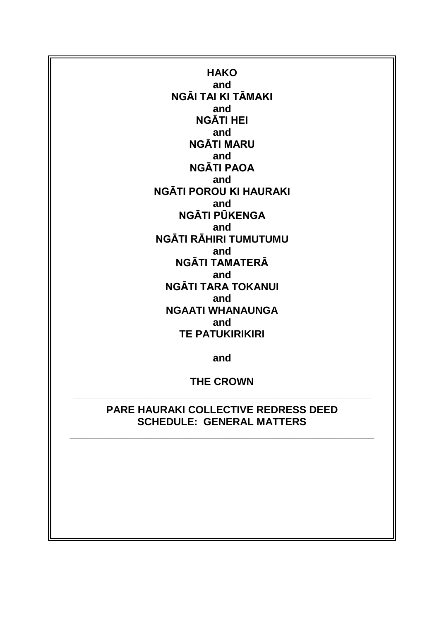**HAKO and NGĀI TAI KI TĀMAKI and NGĀTI HEI and NGĀTI MARU and NGĀTI PAOA and NGĀTI POROU KI HAURAKI and NGĀTI PŪKENGA and NGĀTI RĀHIRI TUMUTUMU and NGĀTI TAMATERĀ and NGĀTI TARA TOKANUI and NGAATI WHANAUNGA and TE PATUKIRIKIRI**

**and**

**THE CROWN \_\_\_\_\_\_\_\_\_\_\_\_\_\_\_\_\_\_\_\_\_\_\_\_\_\_\_\_\_\_\_\_\_\_\_\_\_\_\_\_\_\_\_\_\_\_\_\_\_\_\_\_**

> **PARE HAURAKI COLLECTIVE REDRESS DEED SCHEDULE: GENERAL MATTERS**

**\_\_\_\_\_\_\_\_\_\_\_\_\_\_\_\_\_\_\_\_\_\_\_\_\_\_\_\_\_\_\_\_\_\_\_\_\_\_\_\_\_\_\_\_\_\_\_\_\_\_\_\_\_**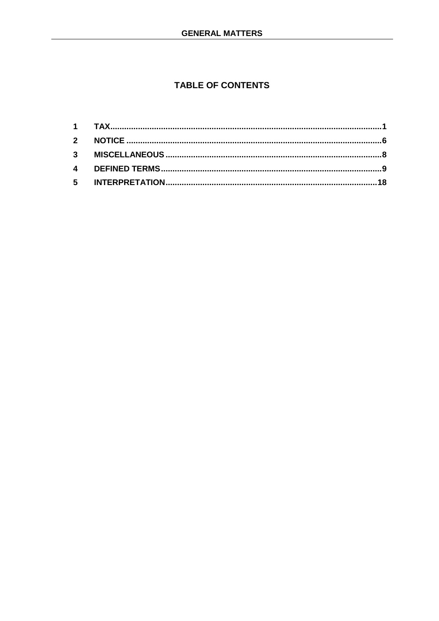# **TABLE OF CONTENTS**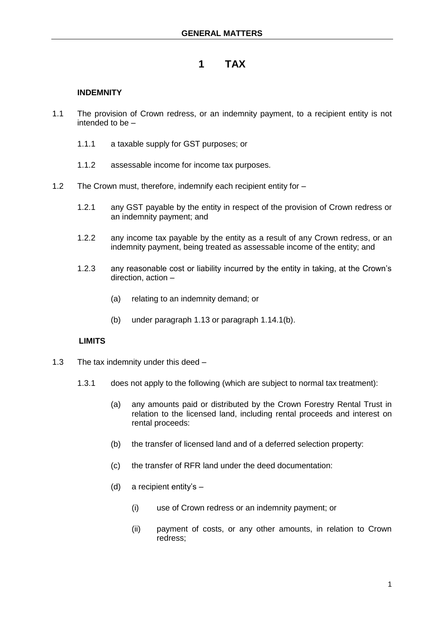# **1 TAX**

# **INDEMNITY**

- 1.1 The provision of Crown redress, or an indemnity payment, to a recipient entity is not intended to be –
	- 1.1.1 a taxable supply for GST purposes; or
	- 1.1.2 assessable income for income tax purposes.
- 1.2 The Crown must, therefore, indemnify each recipient entity for
	- 1.2.1 any GST payable by the entity in respect of the provision of Crown redress or an indemnity payment; and
	- 1.2.2 any income tax payable by the entity as a result of any Crown redress, or an indemnity payment, being treated as assessable income of the entity; and
	- 1.2.3 any reasonable cost or liability incurred by the entity in taking, at the Crown's direction, action –
		- (a) relating to an indemnity demand; or
		- (b) under paragraph 1.13 or paragraph 1.14.1(b).

### **LIMITS**

- 1.3 The tax indemnity under this deed
	- 1.3.1 does not apply to the following (which are subject to normal tax treatment):
		- (a) any amounts paid or distributed by the Crown Forestry Rental Trust in relation to the licensed land, including rental proceeds and interest on rental proceeds:
		- (b) the transfer of licensed land and of a deferred selection property:
		- (c) the transfer of RFR land under the deed documentation:
		- (d) a recipient entity's
			- (i) use of Crown redress or an indemnity payment; or
			- (ii) payment of costs, or any other amounts, in relation to Crown redress;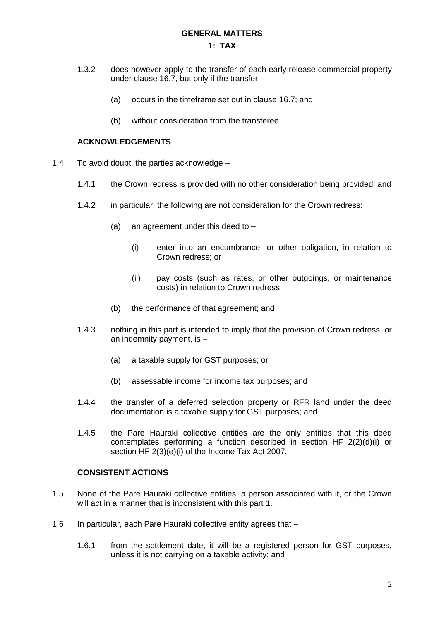- 1.3.2 does however apply to the transfer of each early release commercial property under clause 16.7, but only if the transfer –
	- (a) occurs in the timeframe set out in clause 16.7; and
	- (b) without consideration from the transferee.

### **ACKNOWLEDGEMENTS**

- 1.4 To avoid doubt, the parties acknowledge
	- 1.4.1 the Crown redress is provided with no other consideration being provided; and
	- 1.4.2 in particular, the following are not consideration for the Crown redress:
		- (a) an agreement under this deed to  $-$ 
			- (i) enter into an encumbrance, or other obligation, in relation to Crown redress; or
			- (ii) pay costs (such as rates, or other outgoings, or maintenance costs) in relation to Crown redress:
		- (b) the performance of that agreement; and
	- 1.4.3 nothing in this part is intended to imply that the provision of Crown redress, or an indemnity payment, is –
		- (a) a taxable supply for GST purposes; or
		- (b) assessable income for income tax purposes; and
	- 1.4.4 the transfer of a deferred selection property or RFR land under the deed documentation is a taxable supply for GST purposes; and
	- 1.4.5 the Pare Hauraki collective entities are the only entities that this deed contemplates performing a function described in section HF 2(2)(d)(i) or section HF 2(3)(e)(i) of the Income Tax Act 2007.

### **CONSISTENT ACTIONS**

- 1.5 None of the Pare Hauraki collective entities, a person associated with it, or the Crown will act in a manner that is inconsistent with this part 1.
- 1.6 In particular, each Pare Hauraki collective entity agrees that
	- 1.6.1 from the settlement date, it will be a registered person for GST purposes, unless it is not carrying on a taxable activity; and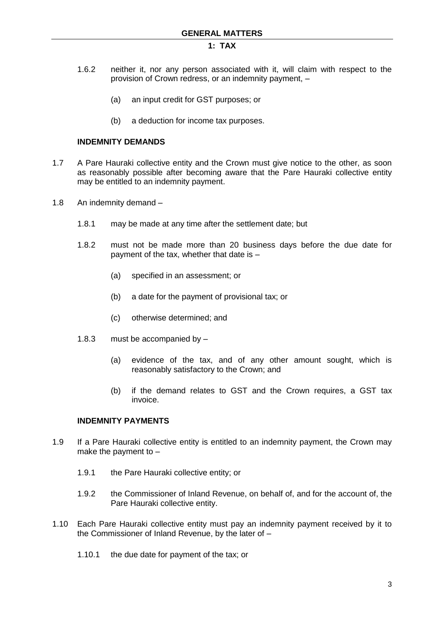- 1.6.2 neither it, nor any person associated with it, will claim with respect to the provision of Crown redress, or an indemnity payment, –
	- (a) an input credit for GST purposes; or
	- (b) a deduction for income tax purposes.

### **INDEMNITY DEMANDS**

- 1.7 A Pare Hauraki collective entity and the Crown must give notice to the other, as soon as reasonably possible after becoming aware that the Pare Hauraki collective entity may be entitled to an indemnity payment.
- 1.8 An indemnity demand
	- 1.8.1 may be made at any time after the settlement date; but
	- 1.8.2 must not be made more than 20 business days before the due date for payment of the tax, whether that date is –
		- (a) specified in an assessment; or
		- (b) a date for the payment of provisional tax; or
		- (c) otherwise determined; and
	- 1.8.3 must be accompanied by
		- (a) evidence of the tax, and of any other amount sought, which is reasonably satisfactory to the Crown; and
		- (b) if the demand relates to GST and the Crown requires, a GST tax invoice.

### **INDEMNITY PAYMENTS**

- 1.9 If a Pare Hauraki collective entity is entitled to an indemnity payment, the Crown may make the payment to  $-$ 
	- 1.9.1 the Pare Hauraki collective entity; or
	- 1.9.2 the Commissioner of Inland Revenue, on behalf of, and for the account of, the Pare Hauraki collective entity.
- 1.10 Each Pare Hauraki collective entity must pay an indemnity payment received by it to the Commissioner of Inland Revenue, by the later of –
	- 1.10.1 the due date for payment of the tax; or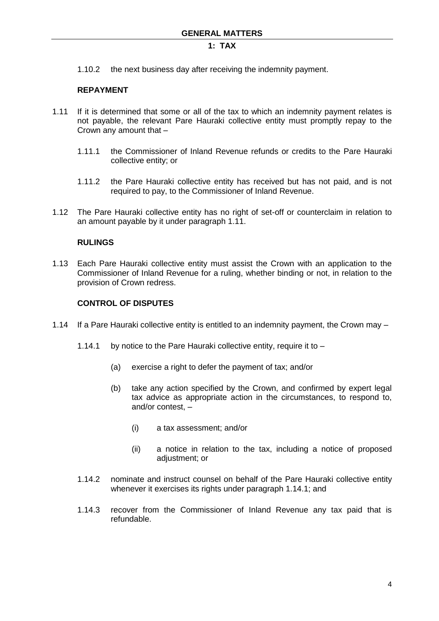1.10.2 the next business day after receiving the indemnity payment.

## **REPAYMENT**

- 1.11 If it is determined that some or all of the tax to which an indemnity payment relates is not payable, the relevant Pare Hauraki collective entity must promptly repay to the Crown any amount that –
	- 1.11.1 the Commissioner of Inland Revenue refunds or credits to the Pare Hauraki collective entity; or
	- 1.11.2 the Pare Hauraki collective entity has received but has not paid, and is not required to pay, to the Commissioner of Inland Revenue.
- 1.12 The Pare Hauraki collective entity has no right of set-off or counterclaim in relation to an amount payable by it under paragraph 1.11.

### **RULINGS**

1.13 Each Pare Hauraki collective entity must assist the Crown with an application to the Commissioner of Inland Revenue for a ruling, whether binding or not, in relation to the provision of Crown redress.

# **CONTROL OF DISPUTES**

- 1.14 If a Pare Hauraki collective entity is entitled to an indemnity payment, the Crown may
	- 1.14.1 by notice to the Pare Hauraki collective entity, require it to
		- (a) exercise a right to defer the payment of tax; and/or
		- (b) take any action specified by the Crown, and confirmed by expert legal tax advice as appropriate action in the circumstances, to respond to, and/or contest, –
			- (i) a tax assessment; and/or
			- (ii) a notice in relation to the tax, including a notice of proposed adjustment; or
	- 1.14.2 nominate and instruct counsel on behalf of the Pare Hauraki collective entity whenever it exercises its rights under paragraph 1.14.1; and
	- 1.14.3 recover from the Commissioner of Inland Revenue any tax paid that is refundable.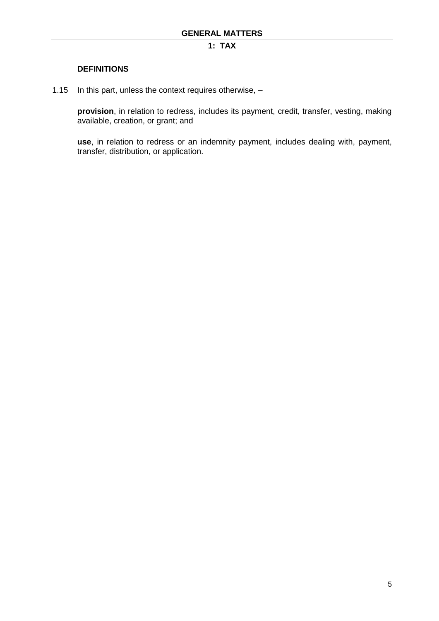### **DEFINITIONS**

1.15 In this part, unless the context requires otherwise, –

**provision**, in relation to redress, includes its payment, credit, transfer, vesting, making available, creation, or grant; and

**use**, in relation to redress or an indemnity payment, includes dealing with, payment, transfer, distribution, or application.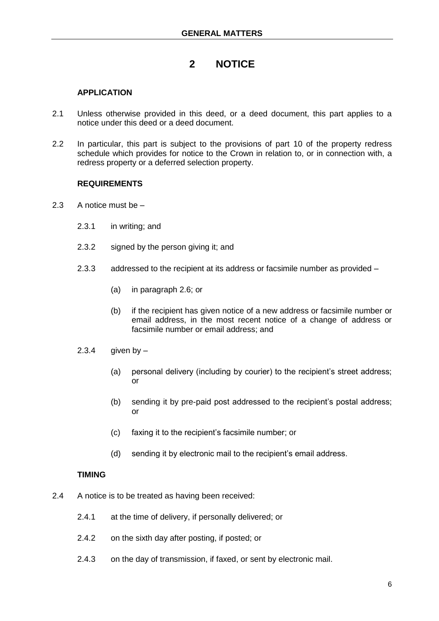# **2 NOTICE**

# **APPLICATION**

- 2.1 Unless otherwise provided in this deed, or a deed document, this part applies to a notice under this deed or a deed document.
- 2.2 In particular, this part is subject to the provisions of part 10 of the property redress schedule which provides for notice to the Crown in relation to, or in connection with, a redress property or a deferred selection property.

### **REQUIREMENTS**

- 2.3 A notice must be
	- 2.3.1 in writing; and
	- 2.3.2 signed by the person giving it; and
	- 2.3.3 addressed to the recipient at its address or facsimile number as provided
		- (a) in paragraph 2.6; or
		- (b) if the recipient has given notice of a new address or facsimile number or email address, in the most recent notice of a change of address or facsimile number or email address; and
	- $2.3.4$  given by  $-$ 
		- (a) personal delivery (including by courier) to the recipient's street address; or
		- (b) sending it by pre-paid post addressed to the recipient's postal address; or
		- (c) faxing it to the recipient's facsimile number; or
		- (d) sending it by electronic mail to the recipient's email address.

### **TIMING**

- 2.4 A notice is to be treated as having been received:
	- 2.4.1 at the time of delivery, if personally delivered; or
	- 2.4.2 on the sixth day after posting, if posted; or
	- 2.4.3 on the day of transmission, if faxed, or sent by electronic mail.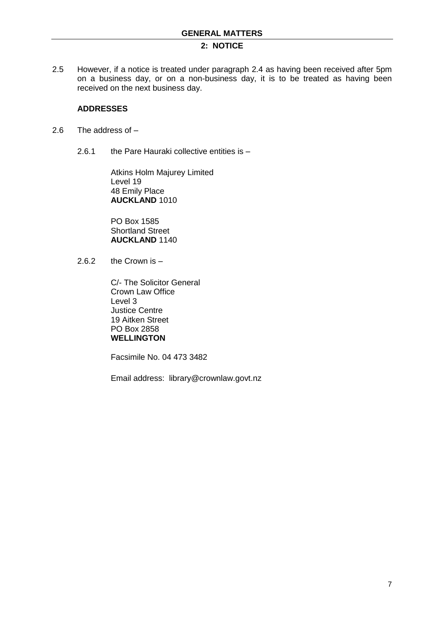# **2: NOTICE**

2.5 However, if a notice is treated under paragraph 2.4 as having been received after 5pm on a business day, or on a non-business day, it is to be treated as having been received on the next business day.

### **ADDRESSES**

- 2.6 The address of
	- 2.6.1 the Pare Hauraki collective entities is -

Atkins Holm Majurey Limited Level 19 48 Emily Place **AUCKLAND** 1010

PO Box 1585 Shortland Street **AUCKLAND** 1140

2.6.2 the Crown is –

C/- The Solicitor General Crown Law Office Level 3 Justice Centre 19 Aitken Street PO Box 2858 **WELLINGTON**

Facsimile No. 04 473 3482

Email address: library@crownlaw.govt.nz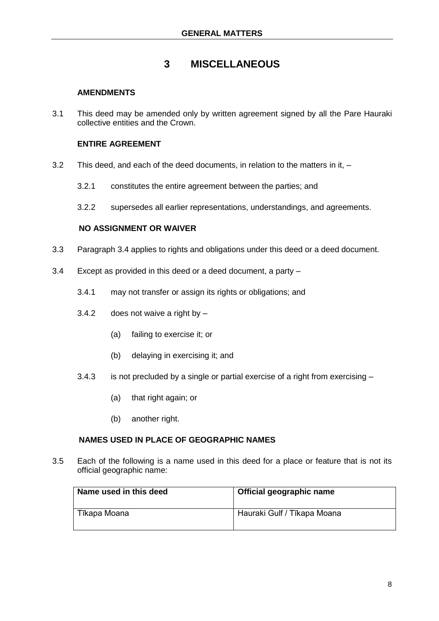# **3 MISCELLANEOUS**

## **AMENDMENTS**

3.1 This deed may be amended only by written agreement signed by all the Pare Hauraki collective entities and the Crown.

# **ENTIRE AGREEMENT**

- 3.2 This deed, and each of the deed documents, in relation to the matters in it,
	- 3.2.1 constitutes the entire agreement between the parties; and
	- 3.2.2 supersedes all earlier representations, understandings, and agreements.

## **NO ASSIGNMENT OR WAIVER**

- 3.3 Paragraph 3.4 applies to rights and obligations under this deed or a deed document.
- 3.4 Except as provided in this deed or a deed document, a party
	- 3.4.1 may not transfer or assign its rights or obligations; and
	- $3.4.2$  does not waive a right by  $-$ 
		- (a) failing to exercise it; or
		- (b) delaying in exercising it; and
	- 3.4.3 is not precluded by a single or partial exercise of a right from exercising
		- (a) that right again; or
		- (b) another right.

### **NAMES USED IN PLACE OF GEOGRAPHIC NAMES**

3.5 Each of the following is a name used in this deed for a place or feature that is not its official geographic name:

| Name used in this deed | Official geographic name    |
|------------------------|-----------------------------|
| Tīkapa Moana           | Hauraki Gulf / Tīkapa Moana |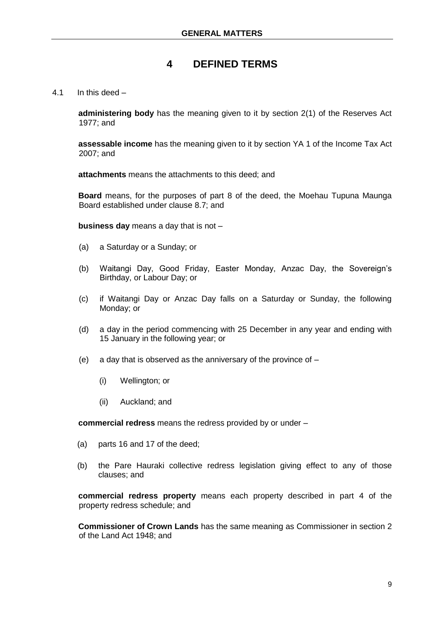### 4.1 In this deed –

**administering body** has the meaning given to it by section 2(1) of the Reserves Act 1977; and

**assessable income** has the meaning given to it by section YA 1 of the Income Tax Act 2007; and

**attachments** means the attachments to this deed; and

**Board** means, for the purposes of part 8 of the deed, the Moehau Tupuna Maunga Board established under clause 8.7; and

**business day** means a day that is not –

- (a) a Saturday or a Sunday; or
- (b) Waitangi Day, Good Friday, Easter Monday, Anzac Day, the Sovereign's Birthday, or Labour Day; or
- (c) if Waitangi Day or Anzac Day falls on a Saturday or Sunday, the following Monday; or
- (d) a day in the period commencing with 25 December in any year and ending with 15 January in the following year; or
- (e) a day that is observed as the anniversary of the province of  $-$ 
	- (i) Wellington; or
	- (ii) Auckland; and

**commercial redress** means the redress provided by or under –

- (a) parts 16 and 17 of the deed;
- (b) the Pare Hauraki collective redress legislation giving effect to any of those clauses; and

**commercial redress property** means each property described in part 4 of the property redress schedule; and

**Commissioner of Crown Lands** has the same meaning as Commissioner in section 2 of the Land Act 1948; and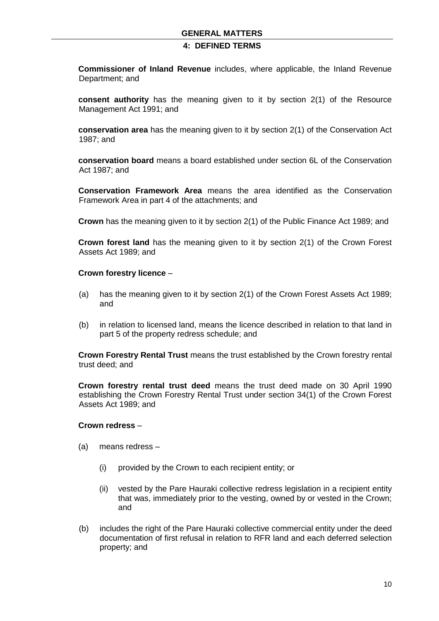**Commissioner of Inland Revenue** includes, where applicable, the Inland Revenue Department; and

**consent authority** has the meaning given to it by section 2(1) of the Resource Management Act 1991; and

**conservation area** has the meaning given to it by section 2(1) of the Conservation Act 1987; and

**conservation board** means a board established under section 6L of the Conservation Act 1987; and

**Conservation Framework Area** means the area identified as the Conservation Framework Area in part 4 of the attachments; and

**Crown** has the meaning given to it by section 2(1) of the Public Finance Act 1989; and

**Crown forest land** has the meaning given to it by section 2(1) of the Crown Forest Assets Act 1989; and

#### **Crown forestry licence** –

- (a) has the meaning given to it by section 2(1) of the Crown Forest Assets Act 1989; and
- (b) in relation to licensed land, means the licence described in relation to that land in part 5 of the property redress schedule; and

**Crown Forestry Rental Trust** means the trust established by the Crown forestry rental trust deed; and

**Crown forestry rental trust deed** means the trust deed made on 30 April 1990 establishing the Crown Forestry Rental Trust under section 34(1) of the Crown Forest Assets Act 1989; and

### **Crown redress** –

- (a) means redress
	- (i) provided by the Crown to each recipient entity; or
	- (ii) vested by the Pare Hauraki collective redress legislation in a recipient entity that was, immediately prior to the vesting, owned by or vested in the Crown; and
- (b) includes the right of the Pare Hauraki collective commercial entity under the deed documentation of first refusal in relation to RFR land and each deferred selection property; and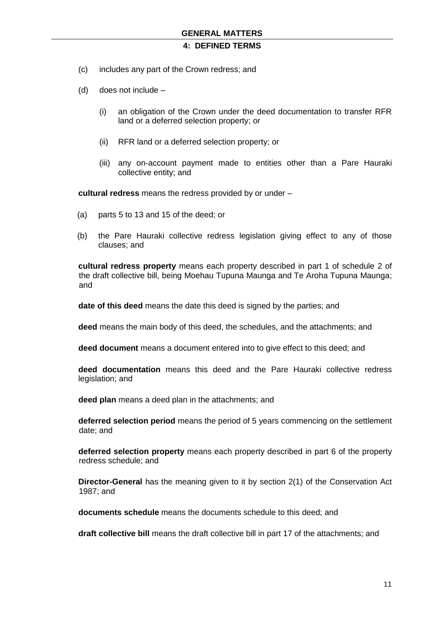- (c) includes any part of the Crown redress; and
- (d) does not include
	- (i) an obligation of the Crown under the deed documentation to transfer RFR land or a deferred selection property; or
	- (ii) RFR land or a deferred selection property; or
	- (iii) any on-account payment made to entities other than a Pare Hauraki collective entity; and

**cultural redress** means the redress provided by or under –

- (a) parts 5 to 13 and 15 of the deed; or
- (b) the Pare Hauraki collective redress legislation giving effect to any of those clauses; and

**cultural redress property** means each property described in part 1 of schedule 2 of the draft collective bill, being Moehau Tupuna Maunga and Te Aroha Tupuna Maunga; and

**date of this deed** means the date this deed is signed by the parties; and

**deed** means the main body of this deed, the schedules, and the attachments; and

**deed document** means a document entered into to give effect to this deed; and

**deed documentation** means this deed and the Pare Hauraki collective redress legislation; and

**deed plan** means a deed plan in the attachments; and

**deferred selection period** means the period of 5 years commencing on the settlement date; and

**deferred selection property** means each property described in part 6 of the property redress schedule; and

**Director-General** has the meaning given to it by section 2(1) of the Conservation Act 1987; and

**documents schedule** means the documents schedule to this deed; and

**draft collective bill** means the draft collective bill in part 17 of the attachments; and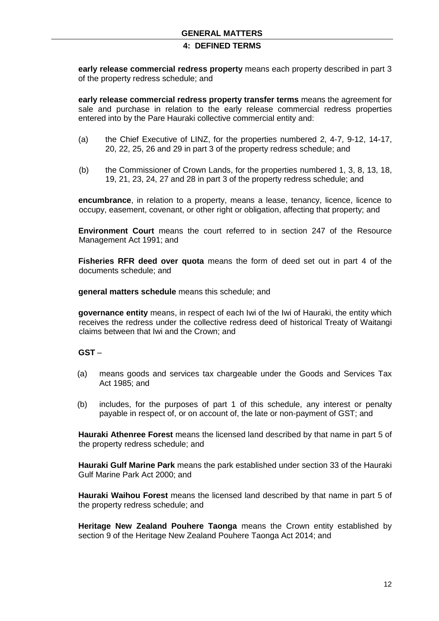**early release commercial redress property** means each property described in part 3 of the property redress schedule; and

**early release commercial redress property transfer terms** means the agreement for sale and purchase in relation to the early release commercial redress properties entered into by the Pare Hauraki collective commercial entity and:

- (a) the Chief Executive of LINZ, for the properties numbered 2, 4-7, 9-12, 14-17, 20, 22, 25, 26 and 29 in part 3 of the property redress schedule; and
- (b) the Commissioner of Crown Lands, for the properties numbered 1, 3, 8, 13, 18, 19, 21, 23, 24, 27 and 28 in part 3 of the property redress schedule; and

**encumbrance**, in relation to a property, means a lease, tenancy, licence, licence to occupy, easement, covenant, or other right or obligation, affecting that property; and

**Environment Court** means the court referred to in section 247 of the Resource Management Act 1991; and

**Fisheries RFR deed over quota** means the form of deed set out in part 4 of the documents schedule; and

**general matters schedule** means this schedule; and

**governance entity** means, in respect of each Iwi of the Iwi of Hauraki, the entity which receives the redress under the collective redress deed of historical Treaty of Waitangi claims between that Iwi and the Crown; and

### **GST** –

- (a) means goods and services tax chargeable under the Goods and Services Tax Act 1985; and
- (b) includes, for the purposes of part 1 of this schedule, any interest or penalty payable in respect of, or on account of, the late or non-payment of GST; and

**Hauraki Athenree Forest** means the licensed land described by that name in part 5 of the property redress schedule; and

**Hauraki Gulf Marine Park** means the park established under section 33 of the Hauraki Gulf Marine Park Act 2000; and

**Hauraki Waihou Forest** means the licensed land described by that name in part 5 of the property redress schedule; and

**Heritage New Zealand Pouhere Taonga** means the Crown entity established by section 9 of the Heritage New Zealand Pouhere Taonga Act 2014; and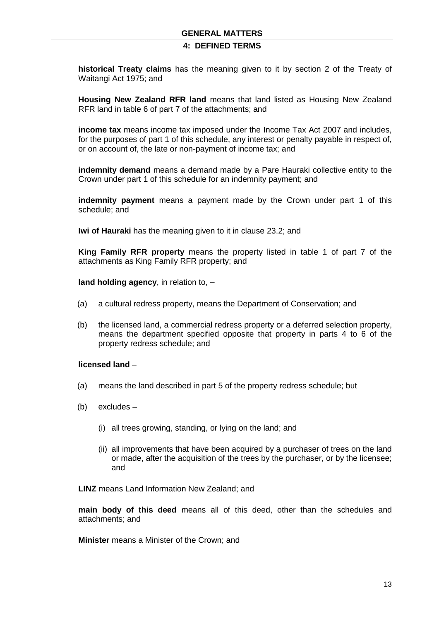**historical Treaty claims** has the meaning given to it by section 2 of the Treaty of Waitangi Act 1975; and

**Housing New Zealand RFR land** means that land listed as Housing New Zealand RFR land in table 6 of part 7 of the attachments; and

**income tax** means income tax imposed under the Income Tax Act 2007 and includes, for the purposes of part 1 of this schedule, any interest or penalty payable in respect of, or on account of, the late or non-payment of income tax; and

**indemnity demand** means a demand made by a Pare Hauraki collective entity to the Crown under part 1 of this schedule for an indemnity payment; and

**indemnity payment** means a payment made by the Crown under part 1 of this schedule; and

**Iwi of Hauraki** has the meaning given to it in clause 23.2; and

**King Family RFR property** means the property listed in table 1 of part 7 of the attachments as King Family RFR property; and

**land holding agency**, in relation to, –

- (a) a cultural redress property, means the Department of Conservation; and
- (b) the licensed land, a commercial redress property or a deferred selection property, means the department specified opposite that property in parts 4 to 6 of the property redress schedule; and

### **licensed land** –

- (a) means the land described in part 5 of the property redress schedule; but
- (b) excludes
	- (i) all trees growing, standing, or lying on the land; and
	- (ii) all improvements that have been acquired by a purchaser of trees on the land or made, after the acquisition of the trees by the purchaser, or by the licensee; and

**LINZ** means Land Information New Zealand; and

**main body of this deed** means all of this deed, other than the schedules and attachments; and

**Minister** means a Minister of the Crown; and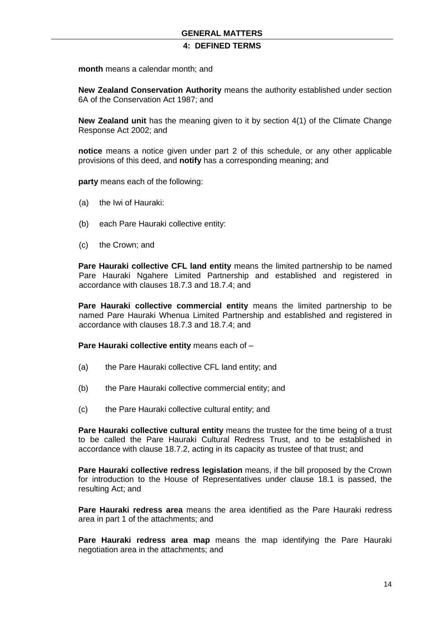**month** means a calendar month; and

**New Zealand Conservation Authority** means the authority established under section 6A of the Conservation Act 1987; and

**New Zealand unit** has the meaning given to it by section 4(1) of the Climate Change Response Act 2002; and

**notice** means a notice given under part 2 of this schedule, or any other applicable provisions of this deed, and **notify** has a corresponding meaning; and

**party** means each of the following:

- (a) the Iwi of Hauraki:
- (b) each Pare Hauraki collective entity:
- (c) the Crown; and

**Pare Hauraki collective CFL land entity** means the limited partnership to be named Pare Hauraki Ngahere Limited Partnership and established and registered in accordance with clauses 18.7.3 and 18.7.4; and

**Pare Hauraki collective commercial entity** means the limited partnership to be named Pare Hauraki Whenua Limited Partnership and established and registered in accordance with clauses 18.7.3 and 18.7.4; and

**Pare Hauraki collective entity** means each of –

- (a) the Pare Hauraki collective CFL land entity; and
- (b) the Pare Hauraki collective commercial entity; and
- (c) the Pare Hauraki collective cultural entity; and

**Pare Hauraki collective cultural entity** means the trustee for the time being of a trust to be called the Pare Hauraki Cultural Redress Trust, and to be established in accordance with clause 18.7.2, acting in its capacity as trustee of that trust; and

**Pare Hauraki collective redress legislation** means, if the bill proposed by the Crown for introduction to the House of Representatives under clause 18.1 is passed, the resulting Act; and

**Pare Hauraki redress area** means the area identified as the Pare Hauraki redress area in part 1 of the attachments; and

**Pare Hauraki redress area map** means the map identifying the Pare Hauraki negotiation area in the attachments; and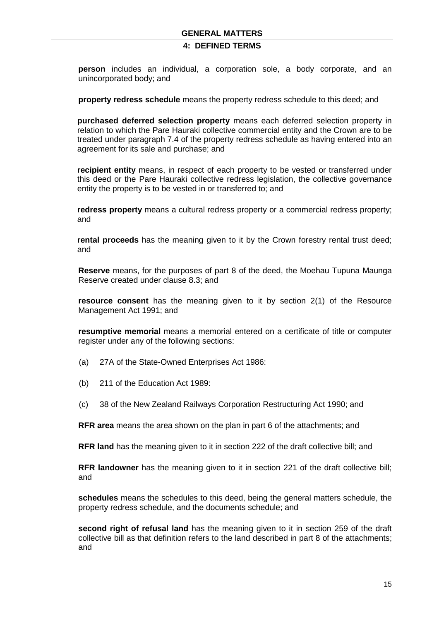**person** includes an individual, a corporation sole, a body corporate, and an unincorporated body; and

**property redress schedule** means the property redress schedule to this deed; and

**purchased deferred selection property** means each deferred selection property in relation to which the Pare Hauraki collective commercial entity and the Crown are to be treated under paragraph 7.4 of the property redress schedule as having entered into an agreement for its sale and purchase; and

**recipient entity** means, in respect of each property to be vested or transferred under this deed or the Pare Hauraki collective redress legislation, the collective governance entity the property is to be vested in or transferred to; and

**redress property** means a cultural redress property or a commercial redress property; and

**rental proceeds** has the meaning given to it by the Crown forestry rental trust deed; and

**Reserve** means, for the purposes of part 8 of the deed, the Moehau Tupuna Maunga Reserve created under clause 8.3; and

**resource consent** has the meaning given to it by section 2(1) of the Resource Management Act 1991; and

**resumptive memorial** means a memorial entered on a certificate of title or computer register under any of the following sections:

- (a) 27A of the State-Owned Enterprises Act 1986:
- (b) 211 of the Education Act 1989:
- (c) 38 of the New Zealand Railways Corporation Restructuring Act 1990; and

**RFR area** means the area shown on the plan in part 6 of the attachments; and

**RFR land** has the meaning given to it in section 222 of the draft collective bill; and

**RFR landowner** has the meaning given to it in section 221 of the draft collective bill; and

**schedules** means the schedules to this deed, being the general matters schedule, the property redress schedule, and the documents schedule; and

**second right of refusal land** has the meaning given to it in section 259 of the draft collective bill as that definition refers to the land described in part 8 of the attachments; and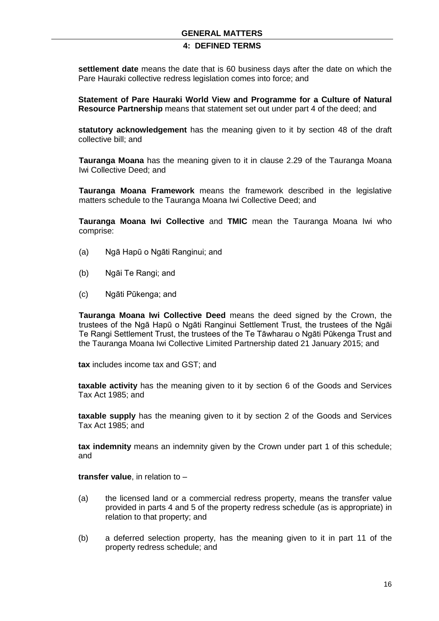### **GENERAL MATTERS**

# **4: DEFINED TERMS**

**settlement date** means the date that is 60 business days after the date on which the Pare Hauraki collective redress legislation comes into force; and

**Statement of Pare Hauraki World View and Programme for a Culture of Natural Resource Partnership** means that statement set out under part 4 of the deed; and

**statutory acknowledgement** has the meaning given to it by section 48 of the draft collective bill; and

**Tauranga Moana** has the meaning given to it in clause 2.29 of the Tauranga Moana Iwi Collective Deed; and

**Tauranga Moana Framework** means the framework described in the legislative matters schedule to the Tauranga Moana Iwi Collective Deed; and

**Tauranga Moana Iwi Collective** and **TMIC** mean the Tauranga Moana Iwi who comprise:

- (a) Ngā Hapū o Ngāti Ranginui; and
- (b) Ngāi Te Rangi; and
- (c) Ngāti Pūkenga; and

**Tauranga Moana Iwi Collective Deed** means the deed signed by the Crown, the trustees of the Ngā Hapū o Ngāti Ranginui Settlement Trust, the trustees of the Ngāi Te Rangi Settlement Trust, the trustees of the Te Tāwharau o Ngāti Pūkenga Trust and the Tauranga Moana Iwi Collective Limited Partnership dated 21 January 2015; and

**tax** includes income tax and GST; and

**taxable activity** has the meaning given to it by section 6 of the Goods and Services Tax Act 1985; and

**taxable supply** has the meaning given to it by section 2 of the Goods and Services Tax Act 1985; and

**tax indemnity** means an indemnity given by the Crown under part 1 of this schedule; and

**transfer value**, in relation to –

- (a) the licensed land or a commercial redress property, means the transfer value provided in parts 4 and 5 of the property redress schedule (as is appropriate) in relation to that property; and
- (b) a deferred selection property, has the meaning given to it in part 11 of the property redress schedule; and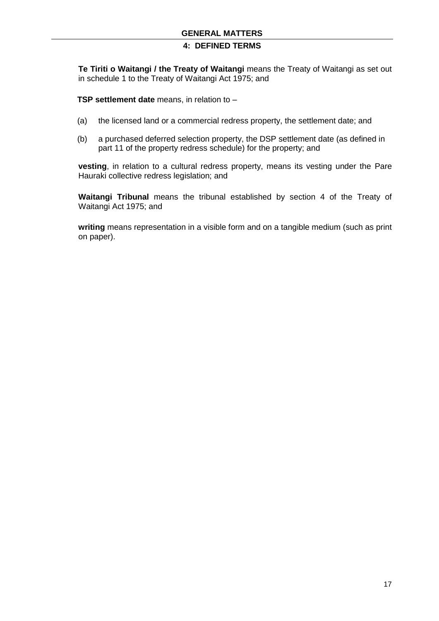**Te Tiriti o Waitangi / the Treaty of Waitangi** means the Treaty of Waitangi as set out in schedule 1 to the Treaty of Waitangi Act 1975; and

**TSP settlement date** means, in relation to –

- (a) the licensed land or a commercial redress property, the settlement date; and
- (b) a purchased deferred selection property, the DSP settlement date (as defined in part 11 of the property redress schedule) for the property; and

**vesting**, in relation to a cultural redress property, means its vesting under the Pare Hauraki collective redress legislation; and

**Waitangi Tribunal** means the tribunal established by section 4 of the Treaty of Waitangi Act 1975; and

**writing** means representation in a visible form and on a tangible medium (such as print on paper).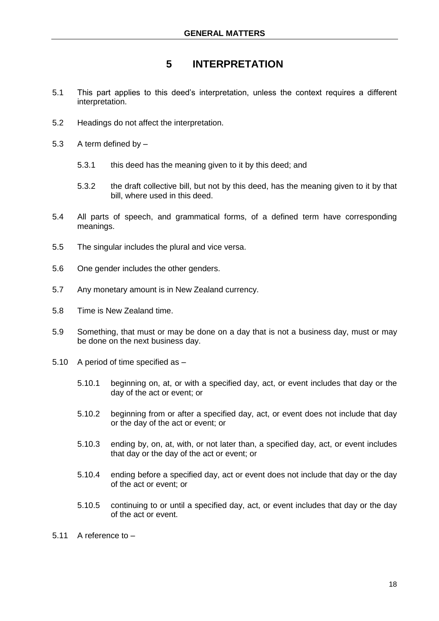# **5 INTERPRETATION**

- 5.1 This part applies to this deed's interpretation, unless the context requires a different interpretation.
- 5.2 Headings do not affect the interpretation.
- 5.3 A term defined by
	- 5.3.1 this deed has the meaning given to it by this deed; and
	- 5.3.2 the draft collective bill, but not by this deed, has the meaning given to it by that bill, where used in this deed.
- 5.4 All parts of speech, and grammatical forms, of a defined term have corresponding meanings.
- 5.5 The singular includes the plural and vice versa.
- 5.6 One gender includes the other genders.
- 5.7 Any monetary amount is in New Zealand currency.
- 5.8 Time is New Zealand time.
- 5.9 Something, that must or may be done on a day that is not a business day, must or may be done on the next business day.
- 5.10 A period of time specified as
	- 5.10.1 beginning on, at, or with a specified day, act, or event includes that day or the day of the act or event; or
	- 5.10.2 beginning from or after a specified day, act, or event does not include that day or the day of the act or event; or
	- 5.10.3 ending by, on, at, with, or not later than, a specified day, act, or event includes that day or the day of the act or event; or
	- 5.10.4 ending before a specified day, act or event does not include that day or the day of the act or event; or
	- 5.10.5 continuing to or until a specified day, act, or event includes that day or the day of the act or event.
- 5.11 A reference to –